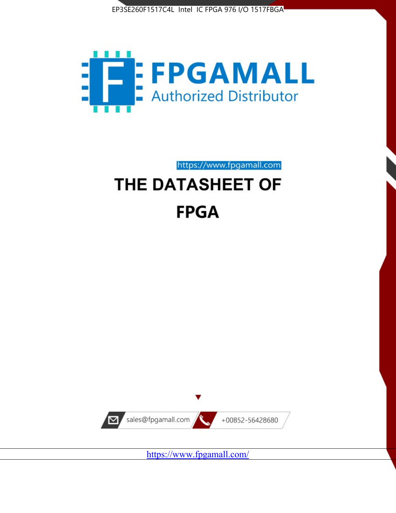



https://www.fpgamall.com

# THE DATASHEET OF **FPGA**



<https://www.fpgamall.com/>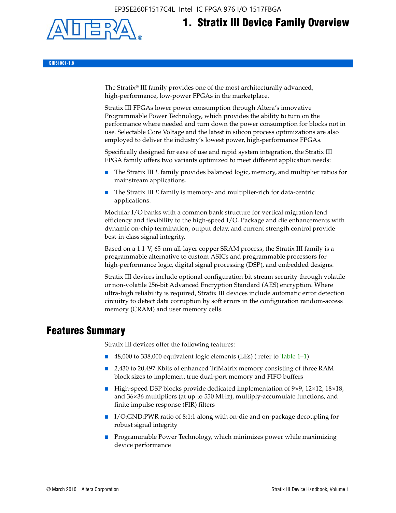EP3SE260F1517C4L Intel IC FPGA 976 I/O 1517FBGA



# **1. Stratix III Device Family Overview**

**SIII51001-1.8**

The Stratix® III family provides one of the most architecturally advanced, high-performance, low-power FPGAs in the marketplace.

Stratix III FPGAs lower power consumption through Altera's innovative Programmable Power Technology, which provides the ability to turn on the performance where needed and turn down the power consumption for blocks not in use. Selectable Core Voltage and the latest in silicon process optimizations are also employed to deliver the industry's lowest power, high-performance FPGAs.

Specifically designed for ease of use and rapid system integration, the Stratix III FPGA family offers two variants optimized to meet different application needs:

- The Stratix III *L* family provides balanced logic, memory, and multiplier ratios for mainstream applications.
- The Stratix III *E* family is memory- and multiplier-rich for data-centric applications.

Modular I/O banks with a common bank structure for vertical migration lend efficiency and flexibility to the high-speed I/O. Package and die enhancements with dynamic on-chip termination, output delay, and current strength control provide best-in-class signal integrity.

Based on a 1.1-V, 65-nm all-layer copper SRAM process, the Stratix III family is a programmable alternative to custom ASICs and programmable processors for high-performance logic, digital signal processing (DSP), and embedded designs.

Stratix III devices include optional configuration bit stream security through volatile or non-volatile 256-bit Advanced Encryption Standard (AES) encryption. Where ultra-high reliability is required, Stratix III devices include automatic error detection circuitry to detect data corruption by soft errors in the configuration random-access memory (CRAM) and user memory cells.

# **Features Summary**

Stratix III devices offer the following features:

- 48,000 to 338,000 equivalent logic elements (LEs) (refer to Table 1–1)
- 2,430 to 20,497 Kbits of enhanced TriMatrix memory consisting of three RAM block sizes to implement true dual-port memory and FIFO buffers
- High-speed DSP blocks provide dedicated implementation of 9×9, 12×12, 18×18, and 36×36 multipliers (at up to 550 MHz), multiply-accumulate functions, and finite impulse response (FIR) filters
- I/O:GND:PWR ratio of 8:1:1 along with on-die and on-package decoupling for robust signal integrity
- Programmable Power Technology, which minimizes power while maximizing device performance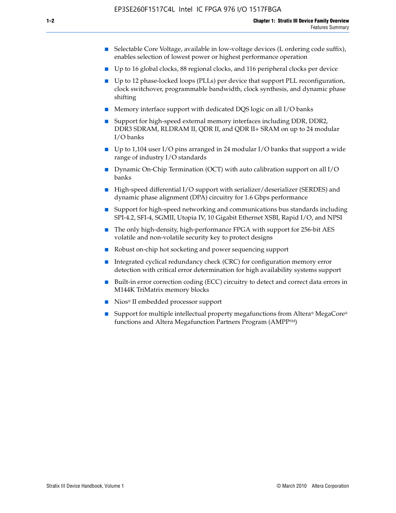- Selectable Core Voltage, available in low-voltage devices (L ordering code suffix), enables selection of lowest power or highest performance operation
- Up to 16 global clocks, 88 regional clocks, and 116 peripheral clocks per device
- Up to 12 phase-locked loops (PLLs) per device that support PLL reconfiguration, clock switchover, programmable bandwidth, clock synthesis, and dynamic phase shifting
- Memory interface support with dedicated DQS logic on all I/O banks
- Support for high-speed external memory interfaces including DDR, DDR2, DDR3 SDRAM, RLDRAM II, QDR II, and QDR II+ SRAM on up to 24 modular I/O banks
- Up to 1,104 user I/O pins arranged in 24 modular I/O banks that support a wide range of industry I/O standards
- Dynamic On-Chip Termination (OCT) with auto calibration support on all  $I/O$ banks
- High-speed differential I/O support with serializer/deserializer (SERDES) and dynamic phase alignment (DPA) circuitry for 1.6 Gbps performance
- Support for high-speed networking and communications bus standards including SPI-4.2, SFI-4, SGMII, Utopia IV, 10 Gigabit Ethernet XSBI, Rapid I/O, and NPSI
- The only high-density, high-performance FPGA with support for 256-bit AES volatile and non-volatile security key to protect designs
- Robust on-chip hot socketing and power sequencing support
- Integrated cyclical redundancy check (CRC) for configuration memory error detection with critical error determination for high availability systems support
- Built-in error correction coding (ECC) circuitry to detect and correct data errors in M144K TriMatrix memory blocks
- Nios<sup>®</sup> II embedded processor support
- Support for multiple intellectual property megafunctions from Altera® MegaCore® functions and Altera Megafunction Partners Program (AMPPSM)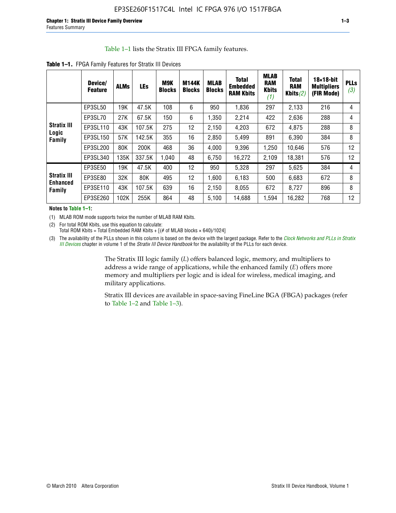#### Table 1–1 lists the Stratix III FPGA family features.

|                                | Device/<br><b>Feature</b> | <b>ALMs</b> | <b>LEs</b> | <b>M9K</b><br><b>Blocks</b> | M144K<br><b>Blocks</b> | <b>MLAB</b><br><b>Blocks</b> | <b>Total</b><br><b>Embedded</b><br><b>RAM Kbits</b> | <b>MLAB</b><br><b>RAM</b><br><b>Kbits</b><br>(1) | <b>Total</b><br><b>RAM</b><br>Kbits $(2)$ | $18\times18$ -bit<br><b>Multipliers</b><br>(FIR Mode) | <b>PLLs</b><br>(3) |
|--------------------------------|---------------------------|-------------|------------|-----------------------------|------------------------|------------------------------|-----------------------------------------------------|--------------------------------------------------|-------------------------------------------|-------------------------------------------------------|--------------------|
|                                | EP3SL50                   | 19K         | 47.5K      | 108                         | 6                      | 950                          | 1,836                                               | 297                                              | 2,133                                     | 216                                                   | 4                  |
|                                | EP3SL70                   | 27K         | 67.5K      | 150                         | 6                      | 1,350                        | 2,214                                               | 422                                              | 2,636                                     | 288                                                   | 4                  |
| <b>Stratix III</b>             | EP3SL110                  | 43K         | 107.5K     | 275                         | 12                     | 2,150                        | 4,203                                               | 672                                              | 4,875                                     | 288                                                   | 8                  |
| Logic<br>Family                | EP3SL150                  | 57K         | 142.5K     | 355                         | 16                     | 2,850                        | 5,499                                               | 891                                              | 6,390                                     | 384                                                   | 8                  |
|                                | EP3SL200                  | 80K         | 200K       | 468                         | 36                     | 4,000                        | 9,396                                               | 1,250                                            | 10,646                                    | 576                                                   | 12                 |
|                                | EP3SL340                  | 135K        | 337.5K     | 1,040                       | 48                     | 6,750                        | 16,272                                              | 2,109                                            | 18,381                                    | 576                                                   | 12                 |
|                                | EP3SE50                   | 19K         | 47.5K      | 400                         | 12                     | 950                          | 5,328                                               | 297                                              | 5,625                                     | 384                                                   | 4                  |
| <b>Stratix III</b><br>Enhanced | EP3SE80                   | 32K         | 80K        | 495                         | 12                     | 1,600                        | 6,183                                               | 500                                              | 6,683                                     | 672                                                   | 8                  |
| Family                         | EP3SE110                  | 43K         | 107.5K     | 639                         | 16                     | 2,150                        | 8.055                                               | 672                                              | 8,727                                     | 896                                                   | 8                  |
|                                | EP3SE260                  | 102K        | 255K       | 864                         | 48                     | 5,100                        | 14,688                                              | 1,594                                            | 16,282                                    | 768                                                   | 12                 |

**Table 1–1.** FPGA Family Features for Stratix III Devices

**Notes to Table 1–1:**

(1) MLAB ROM mode supports twice the number of MLAB RAM Kbits.

(2) For total ROM Kbits, use this equation to calculate: Total ROM Kbits = Total Embedded RAM Kbits +  $[(# of MLAB blocks × 640)/1024]$ 

(3) The availability of the PLLs shown in this column is based on the device with the largest package. Refer to the *[Clock Networks and PLLs in Stratix](http://www.altera.com/literature/hb/stx3/stx3_siii51006.pdf)  [III Devices](http://www.altera.com/literature/hb/stx3/stx3_siii51006.pdf)* chapter in volume 1 of the *Stratix III Device Handbook* for the availability of the PLLs for each device.

> The Stratix III logic family (*L*) offers balanced logic, memory, and multipliers to address a wide range of applications, while the enhanced family (*E*) offers more memory and multipliers per logic and is ideal for wireless, medical imaging, and military applications.

Stratix III devices are available in space-saving FineLine BGA (FBGA) packages (refer to Table 1–2 and Table 1–3).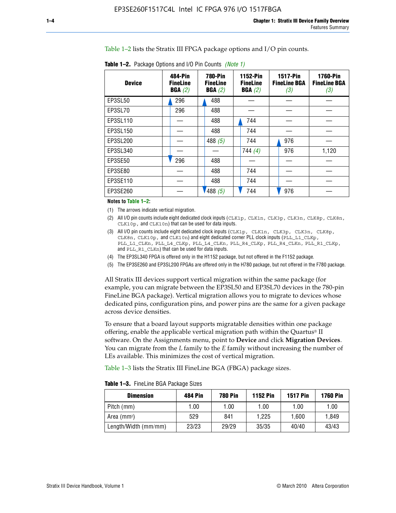Table 1–2 lists the Stratix III FPGA package options and I/O pin counts.

| <b>Device</b> | 484-Pin<br><b>FineLine</b><br>BGA(2) | <b>780-Pin</b><br><b>FineLine</b><br>BGA(2) | 1152-Pin<br><b>FineLine</b><br>BGA(2) | <b>1517-Pin</b><br><b>FineLine BGA</b><br>(3) | <b>1760-Pin</b><br><b>FineLine BGA</b><br>(3) |
|---------------|--------------------------------------|---------------------------------------------|---------------------------------------|-----------------------------------------------|-----------------------------------------------|
| EP3SL50       | 296                                  | 488                                         |                                       |                                               |                                               |
| EP3SL70       | 296                                  | 488                                         |                                       |                                               |                                               |
| EP3SL110      |                                      | 488                                         | 744                                   |                                               |                                               |
| EP3SL150      |                                      | 488                                         | 744                                   |                                               |                                               |
| EP3SL200      |                                      | 488 $(5)$                                   | 744                                   | 976                                           |                                               |
| EP3SL340      |                                      |                                             | 744 $(4)$                             | 976                                           | 1,120                                         |
| EP3SE50       | 296                                  | 488                                         |                                       |                                               |                                               |
| EP3SE80       |                                      | 488                                         | 744                                   |                                               |                                               |
| EP3SE110      |                                      | 488                                         | 744                                   |                                               |                                               |
| EP3SE260      |                                      | '488(5)                                     | 744                                   | 976                                           |                                               |

**Table 1–2.** Package Options and I/O Pin Counts *(Note 1)*

**Notes to Table 1–2:**

(1) The arrows indicate vertical migration.

- (2) All I/O pin counts include eight dedicated clock inputs (CLK1p, CLK1n, CLK3p, CLK3n, CLK8p, CLK8n, CLK10p, and CLK10n) that can be used for data inputs.
- (3) All I/O pin counts include eight dedicated clock inputs (CLK1p, CLK1n, CLK3p, CLK3n, CLK8p, CLK8n, CLK10p, and CLK10n) and eight dedicated corner PLL clock inputs (PLL\_L1\_CLKp, PLL\_L1\_CLKn, PLL\_L4\_CLKp, PLL\_L4\_CLKn, PLL\_R4\_CLKp, PLL\_R4\_CLKn, PLL\_R1\_CLKp, and PLL\_R1\_CLKn) that can be used for data inputs.
- (4) The EP3SL340 FPGA is offered only in the H1152 package, but not offered in the F1152 package.
- (5) The EP3SE260 and EP3SL200 FPGAs are offered only in the H780 package, but not offered in the F780 package.

All Stratix III devices support vertical migration within the same package (for example, you can migrate between the EP3SL50 and EP3SL70 devices in the 780-pin FineLine BGA package). Vertical migration allows you to migrate to devices whose dedicated pins, configuration pins, and power pins are the same for a given package across device densities.

To ensure that a board layout supports migratable densities within one package offering, enable the applicable vertical migration path within the Quartus® II software. On the Assignments menu, point to **Device** and click **Migration Devices**. You can migrate from the *L* family to the *E* family without increasing the number of LEs available. This minimizes the cost of vertical migration.

Table 1–3 lists the Stratix III FineLine BGA (FBGA) package sizes.

| <b>Table 1-3.</b> FineLine BGA Package Sizes |
|----------------------------------------------|
|----------------------------------------------|

| <b>Dimension</b>     | 484 Pin | 780 Pin | <b>1152 Pin</b> | <b>1517 Pin</b> | <b>1760 Pin</b> |
|----------------------|---------|---------|-----------------|-----------------|-----------------|
| Pitch (mm)           | 1.00    | 00. ا   | 1.00            | 1.00            | 1.00            |
| Area $(mm2)$         | 529     | 841     | 1.225           | 1.600           | 1.849           |
| Length/Width (mm/mm) | 23/23   | 29/29   | 35/35           | 40/40           | 43/43           |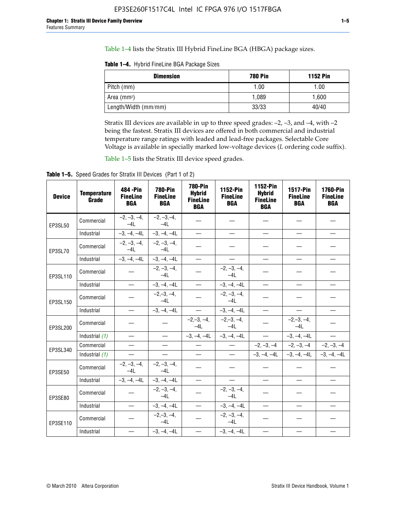Table 1–4 lists the Stratix III Hybrid FineLine BGA (HBGA) package sizes.

**Table 1–4.** Hybrid FineLine BGA Package Sizes

| <b>Dimension</b>     | <b>780 Pin</b> | <b>1152 Pin</b> |
|----------------------|----------------|-----------------|
| Pitch (mm)           | 1.00           | 1.00            |
| Area $(mm^2)$        | 1.089          | 1.600           |
| Length/Width (mm/mm) | 33/33          | 40/40           |

Stratix III devices are available in up to three speed grades: –2, –3, and –4, with –2 being the fastest. Stratix III devices are offered in both commercial and industrial temperature range ratings with leaded and lead-free packages. Selectable Core Voltage is available in specially marked low-voltage devices (*L* ordering code suffix).

Table 1–5 lists the Stratix III device speed grades.

Table 1-5. Speed Grades for Stratix III Devices (Part 1 of 2)

| <b>Device</b> | <b>Temperature</b><br>Grade | 484 - Pin<br><b>FineLine</b><br><b>BGA</b> | <b>780-Pin</b><br><b>FineLine</b><br><b>BGA</b> | <b>780-Pin</b><br><b>Hybrid</b><br><b>FineLine</b><br><b>BGA</b> | 1152-Pin<br><b>FineLine</b><br><b>BGA</b> | 1152-Pin<br><b>Hybrid</b><br><b>FineLine</b><br><b>BGA</b> | 1517-Pin<br><b>FineLine</b><br><b>BGA</b> | <b>1760-Pin</b><br><b>FineLine</b><br><b>BGA</b> |
|---------------|-----------------------------|--------------------------------------------|-------------------------------------------------|------------------------------------------------------------------|-------------------------------------------|------------------------------------------------------------|-------------------------------------------|--------------------------------------------------|
| EP3SL50       | Commercial                  | $-2, -3, -4,$<br>$-4L$                     | $-2, -3, -4,$<br>$-4L$                          |                                                                  |                                           |                                                            |                                           |                                                  |
|               | Industrial                  | $-3, -4, -4L$                              | $-3, -4, -4L$                                   | $\overline{\phantom{0}}$                                         | $\equiv$                                  | $\overline{\phantom{0}}$                                   |                                           | $\overline{\phantom{0}}$                         |
| EP3SL70       | Commercial                  | $-2, -3, -4,$<br>$-4L$                     | $-2, -3, -4,$<br>$-41$                          |                                                                  |                                           |                                                            |                                           |                                                  |
|               | Industrial                  | $-3, -4, -4L$                              | $-3, -4, -4L$                                   | $\overbrace{\phantom{1232211}}$                                  |                                           | $\overline{\phantom{0}}$                                   | $\overline{\phantom{0}}$                  | $\overline{\phantom{0}}$                         |
| EP3SL110      | Commercial                  |                                            | $-2, -3, -4,$<br>$-4L$                          |                                                                  | $-2, -3, -4,$<br>$-4L$                    |                                                            |                                           |                                                  |
|               | Industrial                  | $\equiv$                                   | $-3, -4, -4L$                                   | $\frac{1}{1}$                                                    | $-3, -4, -4L$                             | $\frac{1}{2}$                                              |                                           | $\overline{\phantom{0}}$                         |
| EP3SL150      | Commercial                  |                                            | $-2, -3, -4,$<br>$-41$                          |                                                                  | $-2, -3, -4,$<br>$-41$                    |                                                            |                                           |                                                  |
|               | Industrial                  | $\overline{\phantom{m}}$                   | $-3, -4, -4L$                                   | $\equiv$                                                         | $-3, -4, -4L$                             | $\overline{\phantom{m}}$                                   | $\overline{\phantom{0}}$                  | $\overbrace{\phantom{12322111}}$                 |
| EP3SL200      | Commercial                  |                                            |                                                 | $-2, -3, -4,$<br>$-4L$                                           | $-2, -3, -4,$<br>$-4L$                    |                                                            | $-2,-3,-4,$<br>$-4L$                      |                                                  |
|               | Industrial (1)              | $\equiv$                                   | $\equiv$                                        | $-3, -4, -4L$                                                    | $-3, -4, -4L$                             | $\equiv$                                                   | $-3, -4, -4L$                             | $\equiv$                                         |
| EP3SL340      | Commercial                  |                                            | $\equiv$                                        |                                                                  | $\overline{\phantom{m}}$                  |                                                            | $-2, -3, -4$ $-2, -3, -4$                 | $-2, -3, -4$                                     |
|               | Industrial (1)              |                                            | $\equiv$                                        | $\qquad \qquad -$                                                | $\overline{\phantom{0}}$                  |                                                            | $-3, -4, -4$ $-3, -4, -4$                 | $-3, -4, -4L$                                    |
| EP3SE50       | Commercial                  | $-2, -3, -4,$<br>$-4L$                     | $-2, -3, -4,$<br>$-4L$                          |                                                                  |                                           |                                                            |                                           |                                                  |
|               | Industrial                  | $-3, -4, -4L$                              | $-3, -4, -4L$                                   |                                                                  | $\overline{\phantom{0}}$                  |                                                            | $\overline{\phantom{0}}$                  | $\overline{\phantom{0}}$                         |
| EP3SE80       | Commercial                  |                                            | $-2, -3, -4,$<br>$-41$                          |                                                                  | $-2, -3, -4,$<br>$-4L$                    |                                                            |                                           |                                                  |
|               | Industrial                  | $\overline{\phantom{m}}$                   | $-3, -4, -4L$                                   |                                                                  | $-3, -4, -4L$                             |                                                            | $\equiv$                                  |                                                  |
| EP3SE110      | Commercial                  |                                            | $-2, -3, -4,$<br>$-4L$                          |                                                                  | $-2, -3, -4,$<br>$-4L$                    |                                                            |                                           |                                                  |
|               | Industrial                  |                                            | $-3, -4, -4L$                                   | $\equiv$                                                         | $-3, -4, -4L$                             |                                                            |                                           |                                                  |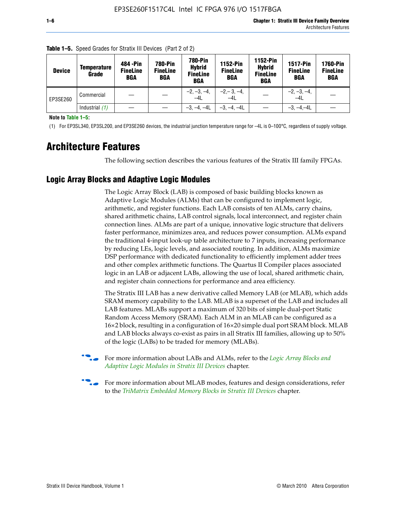| <b>Device</b> | Temperature<br>Grade | 484 - Pin<br><b>FineLine</b><br><b>BGA</b> | <b>780-Pin</b><br><b>FineLine</b><br>BGA | 780-Pin<br><b>Hybrid</b><br><b>FineLine</b><br><b>BGA</b> | 1152-Pin<br><b>FineLine</b><br><b>BGA</b> | <b>1152-Pin</b><br><b>Hybrid</b><br><b>FineLine</b><br><b>BGA</b> | <b>1517-Pin</b><br><b>FineLine</b><br>BGA | <b>1760-Pin</b><br><b>FineLine</b><br>BGA |
|---------------|----------------------|--------------------------------------------|------------------------------------------|-----------------------------------------------------------|-------------------------------------------|-------------------------------------------------------------------|-------------------------------------------|-------------------------------------------|
| EP3SE260      | Commercial           |                                            |                                          | $-2, -3, -4,$<br>$-4L$                                    | $-2, -3, -4,$<br>$-4L$                    |                                                                   | $-2, -3, -4,$<br>$-4L$                    |                                           |
|               | Industrial $(1)$     |                                            |                                          | $-3, -4, -4L$                                             | $-3, -4, -4L$                             |                                                                   | $-3. -4 -4L$                              |                                           |

**Table 1–5.** Speed Grades for Stratix III Devices (Part 2 of 2)

**Note to Table 1–5:**

(1) For EP3SL340, EP3SL200, and EP3SE260 devices, the industrial junction temperature range for –4L is 0–100°C, regardless of supply voltage.

# **Architecture Features**

The following section describes the various features of the Stratix III family FPGAs.

# **Logic Array Blocks and Adaptive Logic Modules**

The Logic Array Block (LAB) is composed of basic building blocks known as Adaptive Logic Modules (ALMs) that can be configured to implement logic, arithmetic, and register functions. Each LAB consists of ten ALMs, carry chains, shared arithmetic chains, LAB control signals, local interconnect, and register chain connection lines. ALMs are part of a unique, innovative logic structure that delivers faster performance, minimizes area, and reduces power consumption. ALMs expand the traditional 4-input look-up table architecture to 7 inputs, increasing performance by reducing LEs, logic levels, and associated routing. In addition, ALMs maximize DSP performance with dedicated functionality to efficiently implement adder trees and other complex arithmetic functions. The Quartus II Compiler places associated logic in an LAB or adjacent LABs, allowing the use of local, shared arithmetic chain, and register chain connections for performance and area efficiency.

The Stratix III LAB has a new derivative called Memory LAB (or MLAB), which adds SRAM memory capability to the LAB. MLAB is a superset of the LAB and includes all LAB features. MLABs support a maximum of 320 bits of simple dual-port Static Random Access Memory (SRAM). Each ALM in an MLAB can be configured as a 16×2 block, resulting in a configuration of 16×20 simple dual port SRAM block. MLAB and LAB blocks always co-exist as pairs in all Stratix III families, allowing up to 50% of the logic (LABs) to be traded for memory (MLABs).



f For more information about LABs and ALMs, refer to the *[Logic Array Blocks and](http://www.altera.com/literature/hb/stx3/stx3_siii51002.pdf)  [Adaptive Logic Modules in Stratix III Devices](http://www.altera.com/literature/hb/stx3/stx3_siii51002.pdf)* chapter.



For more information about MLAB modes, features and design considerations, refer to the *[TriMatrix Embedded Memory Blocks in Stratix III Devices](http://www.altera.com/literature/hb/stx3/stx3_siii51004.pdf)* chapter.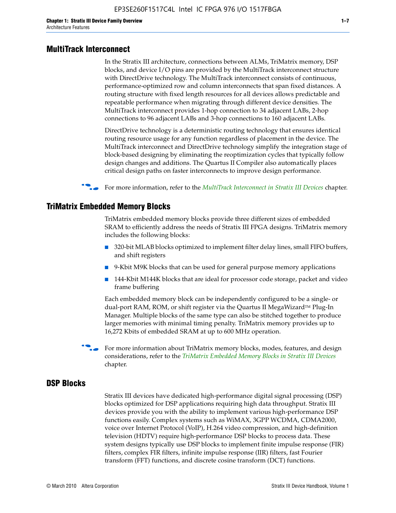#### **MultiTrack Interconnect**

In the Stratix III architecture, connections between ALMs, TriMatrix memory, DSP blocks, and device I/O pins are provided by the MultiTrack interconnect structure with DirectDrive technology. The MultiTrack interconnect consists of continuous, performance-optimized row and column interconnects that span fixed distances. A routing structure with fixed length resources for all devices allows predictable and repeatable performance when migrating through different device densities. The MultiTrack interconnect provides 1-hop connection to 34 adjacent LABs, 2-hop connections to 96 adjacent LABs and 3-hop connections to 160 adjacent LABs.

DirectDrive technology is a deterministic routing technology that ensures identical routing resource usage for any function regardless of placement in the device. The MultiTrack interconnect and DirectDrive technology simplify the integration stage of block-based designing by eliminating the reoptimization cycles that typically follow design changes and additions. The Quartus II Compiler also automatically places critical design paths on faster interconnects to improve design performance.

#### f For more information, refer to the *[MultiTrack Interconnect in Stratix III Devices](http://www.altera.com/literature/hb/stx3/stx3_siii51003.pdf)* chapter.

#### **TriMatrix Embedded Memory Blocks**

TriMatrix embedded memory blocks provide three different sizes of embedded SRAM to efficiently address the needs of Stratix III FPGA designs. TriMatrix memory includes the following blocks:

- 320-bit MLAB blocks optimized to implement filter delay lines, small FIFO buffers, and shift registers
- 9-Kbit M9K blocks that can be used for general purpose memory applications
- 144-Kbit M144K blocks that are ideal for processor code storage, packet and video frame buffering

Each embedded memory block can be independently configured to be a single- or dual-port RAM, ROM, or shift register via the Quartus II MegaWizard™ Plug-In Manager. Multiple blocks of the same type can also be stitched together to produce larger memories with minimal timing penalty. TriMatrix memory provides up to 16,272 Kbits of embedded SRAM at up to 600 MHz operation.

For more information about TriMatrix memory blocks, modes, features, and design considerations, refer to the *[TriMatrix Embedded Memory Blocks in Stratix III Devices](http://www.altera.com/literature/hb/stx3/stx3_siii51004.pdf)* chapter.

#### **DSP Blocks**

Stratix III devices have dedicated high-performance digital signal processing (DSP) blocks optimized for DSP applications requiring high data throughput. Stratix III devices provide you with the ability to implement various high-performance DSP functions easily. Complex systems such as WiMAX, 3GPP WCDMA, CDMA2000, voice over Internet Protocol (VoIP), H.264 video compression, and high-definition television (HDTV) require high-performance DSP blocks to process data. These system designs typically use DSP blocks to implement finite impulse response (FIR) filters, complex FIR filters, infinite impulse response (IIR) filters, fast Fourier transform (FFT) functions, and discrete cosine transform (DCT) functions.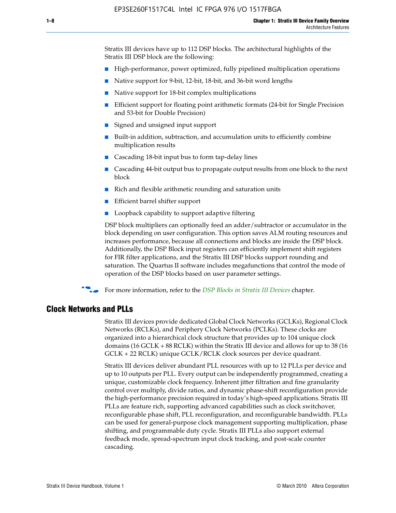Stratix III devices have up to 112 DSP blocks. The architectural highlights of the Stratix III DSP block are the following:

- High-performance, power optimized, fully pipelined multiplication operations
- Native support for 9-bit, 12-bit, 18-bit, and 36-bit word lengths
- Native support for 18-bit complex multiplications
- Efficient support for floating point arithmetic formats (24-bit for Single Precision and 53-bit for Double Precision)
- Signed and unsigned input support
- Built-in addition, subtraction, and accumulation units to efficiently combine multiplication results
- Cascading 18-bit input bus to form tap-delay lines
- Cascading 44-bit output bus to propagate output results from one block to the next block
- Rich and flexible arithmetic rounding and saturation units
- Efficient barrel shifter support
- Loopback capability to support adaptive filtering

DSP block multipliers can optionally feed an adder/subtractor or accumulator in the block depending on user configuration. This option saves ALM routing resources and increases performance, because all connections and blocks are inside the DSP block. Additionally, the DSP Block input registers can efficiently implement shift registers for FIR filter applications, and the Stratix III DSP blocks support rounding and saturation. The Quartus II software includes megafunctions that control the mode of operation of the DSP blocks based on user parameter settings.

f For more information, refer to the *[DSP Blocks in Stratix III Devices](http://www.altera.com/literature/hb/stx3/stx3_siii51005.pdf)* chapter.

#### **Clock Networks and PLLs**

Stratix III devices provide dedicated Global Clock Networks (GCLKs), Regional Clock Networks (RCLKs), and Periphery Clock Networks (PCLKs). These clocks are organized into a hierarchical clock structure that provides up to 104 unique clock domains (16 GCLK + 88 RCLK) within the Stratix III device and allows for up to 38 (16 GCLK + 22 RCLK) unique GCLK/RCLK clock sources per device quadrant.

Stratix III devices deliver abundant PLL resources with up to 12 PLLs per device and up to 10 outputs per PLL. Every output can be independently programmed, creating a unique, customizable clock frequency. Inherent jitter filtration and fine granularity control over multiply, divide ratios, and dynamic phase-shift reconfiguration provide the high-performance precision required in today's high-speed applications. Stratix III PLLs are feature rich, supporting advanced capabilities such as clock switchover, reconfigurable phase shift, PLL reconfiguration, and reconfigurable bandwidth. PLLs can be used for general-purpose clock management supporting multiplication, phase shifting, and programmable duty cycle. Stratix III PLLs also support external feedback mode, spread-spectrum input clock tracking, and post-scale counter cascading.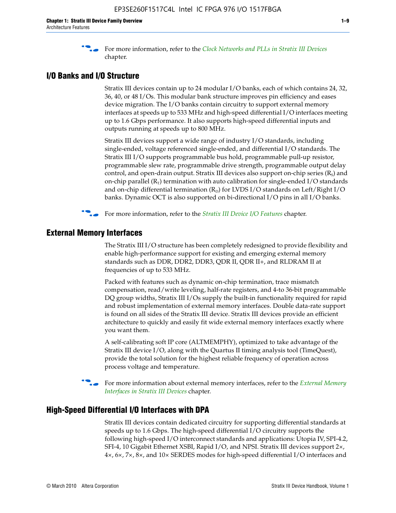f For more information, refer to the *[Clock Networks and PLLs in Stratix III Devices](http://www.altera.com/literature/hb/stx3/stx3_siii51006.pdf)* chapter.

### **I/O Banks and I/O Structure**

Stratix III devices contain up to 24 modular I/O banks, each of which contains 24, 32, 36, 40, or 48 I/Os. This modular bank structure improves pin efficiency and eases device migration. The I/O banks contain circuitry to support external memory interfaces at speeds up to 533 MHz and high-speed differential I/O interfaces meeting up to 1.6 Gbps performance. It also supports high-speed differential inputs and outputs running at speeds up to 800 MHz.

Stratix III devices support a wide range of industry I/O standards, including single-ended, voltage referenced single-ended, and differential I/O standards. The Stratix III I/O supports programmable bus hold, programmable pull-up resistor, programmable slew rate, programmable drive strength, programmable output delay control, and open-drain output. Stratix III devices also support on-chip series  $(R<sub>s</sub>)$  and on-chip parallel  $(R_T)$  termination with auto calibration for single-ended I/O standards and on-chip differential termination  $(R_D)$  for LVDS I/O standards on Left/Right I/O banks. Dynamic OCT is also supported on bi-directional I/O pins in all I/O banks.

**For more information, refer to the** *[Stratix III Device I/O Features](http://www.altera.com/literature/hb/stx3/stx3_siii51007.pdf)* **chapter.** 

# **External Memory Interfaces**

The Stratix III I/O structure has been completely redesigned to provide flexibility and enable high-performance support for existing and emerging external memory standards such as DDR, DDR2, DDR3, QDR II, QDR II+, and RLDRAM II at frequencies of up to 533 MHz.

Packed with features such as dynamic on-chip termination, trace mismatch compensation, read/write leveling, half-rate registers, and 4-to 36-bit programmable DQ group widths, Stratix III I/Os supply the built-in functionality required for rapid and robust implementation of external memory interfaces. Double data-rate support is found on all sides of the Stratix III device. Stratix III devices provide an efficient architecture to quickly and easily fit wide external memory interfaces exactly where you want them.

A self-calibrating soft IP core (ALTMEMPHY), optimized to take advantage of the Stratix III device I/O, along with the Quartus II timing analysis tool (TimeQuest), provide the total solution for the highest reliable frequency of operation across process voltage and temperature.

f For more information about external memory interfaces, refer to the *[External Memory](http://www.altera.com/literature/hb/stx3/stx3_siii51008.pdf)  [Interfaces in Stratix III Devices](http://www.altera.com/literature/hb/stx3/stx3_siii51008.pdf)* chapter.

#### **High-Speed Differential I/O Interfaces with DPA**

Stratix III devices contain dedicated circuitry for supporting differential standards at speeds up to 1.6 Gbps. The high-speed differential I/O circuitry supports the following high-speed I/O interconnect standards and applications: Utopia IV, SPI-4.2, SFI-4, 10 Gigabit Ethernet XSBI, Rapid I/O, and NPSI. Stratix III devices support 2×, 4×, 6×, 7×, 8×, and 10× SERDES modes for high-speed differential I/O interfaces and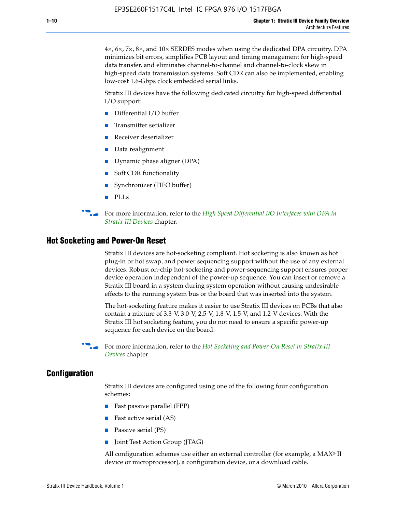4×, 6×, 7×, 8×, and 10× SERDES modes when using the dedicated DPA circuitry. DPA minimizes bit errors, simplifies PCB layout and timing management for high-speed data transfer, and eliminates channel-to-channel and channel-to-clock skew in high-speed data transmission systems. Soft CDR can also be implemented, enabling low-cost 1.6-Gbps clock embedded serial links.

Stratix III devices have the following dedicated circuitry for high-speed differential I/O support:

- Differential I/O buffer
- Transmitter serializer
- Receiver deserializer
- Data realignment
- Dynamic phase aligner (DPA)
- Soft CDR functionality
- Synchronizer (FIFO buffer)
- PLLs

**For more information, refer to the** *High Speed Differential I/O Interfaces with DPA in [Stratix III Devices](http://www.altera.com/literature/hb/stx3/stx3_siii51009.pdf)* chapter.

#### **Hot Socketing and Power-On Reset**

Stratix III devices are hot-socketing compliant. Hot socketing is also known as hot plug-in or hot swap, and power sequencing support without the use of any external devices. Robust on-chip hot-socketing and power-sequencing support ensures proper device operation independent of the power-up sequence. You can insert or remove a Stratix III board in a system during system operation without causing undesirable effects to the running system bus or the board that was inserted into the system.

The hot-socketing feature makes it easier to use Stratix III devices on PCBs that also contain a mixture of 3.3-V, 3.0-V, 2.5-V, 1.8-V, 1.5-V, and 1.2-V devices. With the Stratix III hot socketing feature, you do not need to ensure a specific power-up sequence for each device on the board.

f For more information, refer to the *[Hot Socketing and Power-On Reset in Stratix III](http://www.altera.com/literature/hb/stx3/stx3_siii51010.pdf)  [Device](http://www.altera.com/literature/hb/stx3/stx3_siii51010.pdf)s* chapter.

### **Configuration**

Stratix III devices are configured using one of the following four configuration schemes:

- Fast passive parallel (FPP)
- Fast active serial (AS)
- Passive serial (PS)
- Joint Test Action Group (JTAG)

All configuration schemes use either an external controller (for example, a  $MAX<sup>®</sup>$  II device or microprocessor), a configuration device, or a download cable.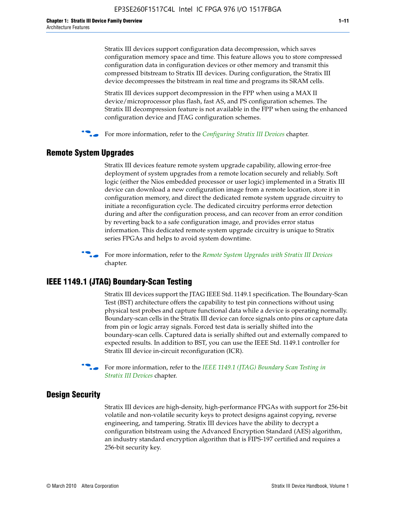Stratix III devices support configuration data decompression, which saves configuration memory space and time. This feature allows you to store compressed configuration data in configuration devices or other memory and transmit this compressed bitstream to Stratix III devices. During configuration, the Stratix III device decompresses the bitstream in real time and programs its SRAM cells.

Stratix III devices support decompression in the FPP when using a MAX II device/microprocessor plus flash, fast AS, and PS configuration schemes. The Stratix III decompression feature is not available in the FPP when using the enhanced configuration device and JTAG configuration schemes.

For more information, refer to the *[Configuring Stratix III Devices](http://www.altera.com/literature/hb/stx3/stx3_siii51011.pdf)* chapter.

# **Remote System Upgrades**

Stratix III devices feature remote system upgrade capability, allowing error-free deployment of system upgrades from a remote location securely and reliably. Soft logic (either the Nios embedded processor or user logic) implemented in a Stratix III device can download a new configuration image from a remote location, store it in configuration memory, and direct the dedicated remote system upgrade circuitry to initiate a reconfiguration cycle. The dedicated circuitry performs error detection during and after the configuration process, and can recover from an error condition by reverting back to a safe configuration image, and provides error status information. This dedicated remote system upgrade circuitry is unique to Stratix series FPGAs and helps to avoid system downtime.



**For more information, refer to the** *[Remote System Upgrades with Stratix III Devices](http://www.altera.com/literature/hb/stx3/stx3_siii51012.pdf)* chapter.

# **IEEE 1149.1 (JTAG) Boundary-Scan Testing**

Stratix III devices support the JTAG IEEE Std. 1149.1 specification. The Boundary-Scan Test (BST) architecture offers the capability to test pin connections without using physical test probes and capture functional data while a device is operating normally. Boundary-scan cells in the Stratix III device can force signals onto pins or capture data from pin or logic array signals. Forced test data is serially shifted into the boundary-scan cells. Captured data is serially shifted out and externally compared to expected results. In addition to BST, you can use the IEEE Std. 1149.1 controller for Stratix III device in-circuit reconfiguration (ICR).

For more information, refer to the *IEEE 1149.1 (JTAG) Boundary Scan Testing in [Stratix III Devices](http://www.altera.com/literature/hb/stx3/stx3_siii51013.pdf)* chapter.

# **Design Security**

Stratix III devices are high-density, high-performance FPGAs with support for 256-bit volatile and non-volatile security keys to protect designs against copying, reverse engineering, and tampering. Stratix III devices have the ability to decrypt a configuration bitstream using the Advanced Encryption Standard (AES) algorithm, an industry standard encryption algorithm that is FIPS-197 certified and requires a 256-bit security key.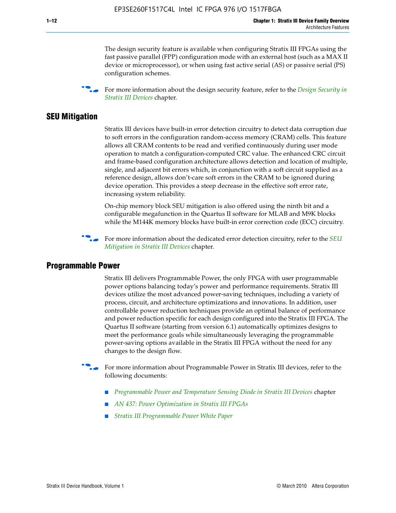The design security feature is available when configuring Stratix III FPGAs using the fast passive parallel (FPP) configuration mode with an external host (such as a MAX II device or microprocessor), or when using fast active serial (AS) or passive serial (PS) configuration schemes.

f For more information about the design security feature, refer to the *[Design Security in](http://www.altera.com/literature/hb/stx3/stx3_siii51014.pdf)  [Stratix III Devices](http://www.altera.com/literature/hb/stx3/stx3_siii51014.pdf)* chapter.

### **SEU Mitigation**

Stratix III devices have built-in error detection circuitry to detect data corruption due to soft errors in the configuration random-access memory (CRAM) cells. This feature allows all CRAM contents to be read and verified continuously during user mode operation to match a configuration-computed CRC value. The enhanced CRC circuit and frame-based configuration architecture allows detection and location of multiple, single, and adjacent bit errors which, in conjunction with a soft circuit supplied as a reference design, allows don't-care soft errors in the CRAM to be ignored during device operation. This provides a steep decrease in the effective soft error rate, increasing system reliability.

On-chip memory block SEU mitigation is also offered using the ninth bit and a configurable megafunction in the Quartus II software for MLAB and M9K blocks while the M144K memory blocks have built-in error correction code (ECC) circuitry.

For more information about the dedicated error detection circuitry, refer to the *SEU [Mitigation in Stratix III Devices](http://www.altera.com/literature/hb/stx3/stx3_siii51015.pdf)* chapter.

#### **Programmable Power**

Stratix III delivers Programmable Power, the only FPGA with user programmable power options balancing today's power and performance requirements. Stratix III devices utilize the most advanced power-saving techniques, including a variety of process, circuit, and architecture optimizations and innovations. In addition, user controllable power reduction techniques provide an optimal balance of performance and power reduction specific for each design configured into the Stratix III FPGA. The Quartus II software (starting from version 6.1) automatically optimizes designs to meet the performance goals while simultaneously leveraging the programmable power-saving options available in the Stratix III FPGA without the need for any changes to the design flow.

For more information about Programmable Power in Stratix III devices, refer to the following documents:

- *[Programmable Power and Temperature Sensing Diode in Stratix III Devices](http://www.altera.com/literature/hb/stx3/stx3_siii51016.pdf)* chapter
- *[AN 437: Power Optimization in Stratix III FPGAs](http://www.altera.com/literature/an/AN437.pdf)*
- *[Stratix III Programmable Power White Paper](http://www.altera.com/literature/wp/wp-01006.pdf)*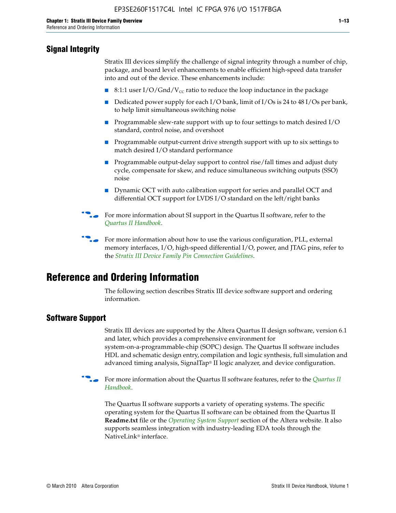# **Signal Integrity**

Stratix III devices simplify the challenge of signal integrity through a number of chip, package, and board level enhancements to enable efficient high-speed data transfer into and out of the device. These enhancements include:

- 8:1:1 user I/O/Gnd/V<sub>cc</sub> ratio to reduce the loop inductance in the package
- Dedicated power supply for each I/O bank, limit of I/Os is 24 to 48 I/Os per bank, to help limit simultaneous switching noise
- Programmable slew-rate support with up to four settings to match desired I/O standard, control noise, and overshoot
- Programmable output-current drive strength support with up to six settings to match desired I/O standard performance
- Programmable output-delay support to control rise/fall times and adjust duty cycle, compensate for skew, and reduce simultaneous switching outputs (SSO) noise
- Dynamic OCT with auto calibration support for series and parallel OCT and differential OCT support for LVDS I/O standard on the left/right banks
- For mor[e](http://www.altera.com/literature/hb/qts/quartusii_handbook.pdf) information about SI support in the Quartus II software, refer to the *[Quartus II Handbook](http://www.altera.com/literature/hb/qts/quartusii_handbook.pdf)*.

For more information about how to use the various configuration, PLL, external memory interfaces, I/O, high-speed differential I/O, power, and JTAG pins, refer to the *[Stratix III Device Family Pin Connection Guidelines](http://www.altera.com/literature/dp/stx3/PCG-01004.pdf)*.

# **Reference and Ordering Information**

The following section describes Stratix III device software support and ordering information.

# **Software Support**

Stratix III devices are supported by the Altera Quartus II design software, version 6.1 and later, which provides a comprehensive environment for system-on-a-programmable-chip (SOPC) design. The Quartus II software includes HDL and schematic design entry, compilation and logic synthesis, full simulation and advanced timing analysis, SignalTap® II logic analyzer, and device configuration.

**for more information about the [Quartus II](http://www.altera.com/literature/hb/qts/quartusii_handbook.pdf) software features, refer to the** *Quartus II* **<b>For all 2** *[Handbook](http://www.altera.com/literature/hb/qts/quartusii_handbook.pdf)*.

The Quartus II software supports a variety of operating systems. The specific operating system for the Quartus II software can be obtained from the Quartus II **Readme.txt** file or the *[Operating System Support](http://www.altera.com/support/software/os_support/oss-index.html)* section of the Altera website. It also supports seamless integration with industry-leading EDA tools through the NativeLink® interface.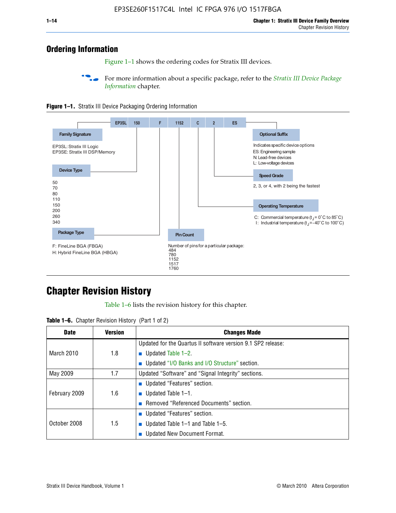# **Ordering Information**

Figure 1–1 shows the ordering codes for Stratix III devices.

For more information about a specific package, refer to the *Stratix III Device Package [Information](http://www.altera.com/literature/hb/stx3/stx3_siii51017.pdf)* chapter.





# **[C](http://www.altera.com/literature/hb/stx3/stx3_siii51012.pdf)hapter Revision History**

Table 1–6 lists the revision history for this chapter.

| <b>Table 1–6.</b> Chapter Revision History (Part 1 of 2) |  |  |  |  |  |
|----------------------------------------------------------|--|--|--|--|--|
|----------------------------------------------------------|--|--|--|--|--|

| <b>Date</b>       | <b>Version</b> | <b>Changes Made</b>                                          |  |
|-------------------|----------------|--------------------------------------------------------------|--|
|                   |                | Updated for the Quartus II software version 9.1 SP2 release: |  |
| <b>March 2010</b> | 1.8            | <b>u</b> Updated Table $1-2$ .                               |  |
|                   |                | ■ Updated "I/O Banks and I/O Structure" section.             |  |
| May 2009          | 1.7            | Updated "Software" and "Signal Integrity" sections.          |  |
|                   |                | Updated "Features" section.                                  |  |
| February 2009     | 1.6            | <b>u</b> Updated Table $1-1$ .                               |  |
|                   |                | Removed "Referenced Documents" section.                      |  |
|                   |                | ■ Updated "Features" section.                                |  |
| October 2008      | 1.5            | ■ Updated Table $1-1$ and Table $1-5$ .                      |  |
|                   |                | Updated New Document Format.                                 |  |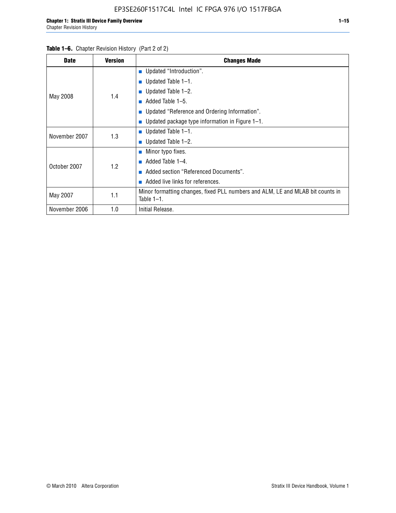| <b>Date</b>   | <b>Version</b> | <b>Changes Made</b>                                                                             |
|---------------|----------------|-------------------------------------------------------------------------------------------------|
|               |                | <b>Updated "Introduction".</b>                                                                  |
|               |                | $\blacksquare$ Updated Table 1-1.                                                               |
|               | 1.4            | ■ Updated Table $1-2$ .                                                                         |
| May 2008      |                | Added Table 1-5.<br><b>COL</b>                                                                  |
|               |                | ■ Updated "Reference and Ordering Information".                                                 |
|               |                | Updated package type information in Figure 1-1.                                                 |
| November 2007 | 1.3            | $\blacksquare$ Updated Table 1-1.                                                               |
|               |                | ■ Updated Table $1-2$ .                                                                         |
|               |                | $\blacksquare$ Minor typo fixes.                                                                |
| October 2007  | 1.2            | Added Table 1-4.<br><b>COL</b>                                                                  |
|               |                | Added section "Referenced Documents".                                                           |
|               |                | Added live links for references.                                                                |
| May 2007      | 1.1            | Minor formatting changes, fixed PLL numbers and ALM, LE and MLAB bit counts in<br>Table $1-1$ . |
| November 2006 | 1.0            | Initial Release.                                                                                |